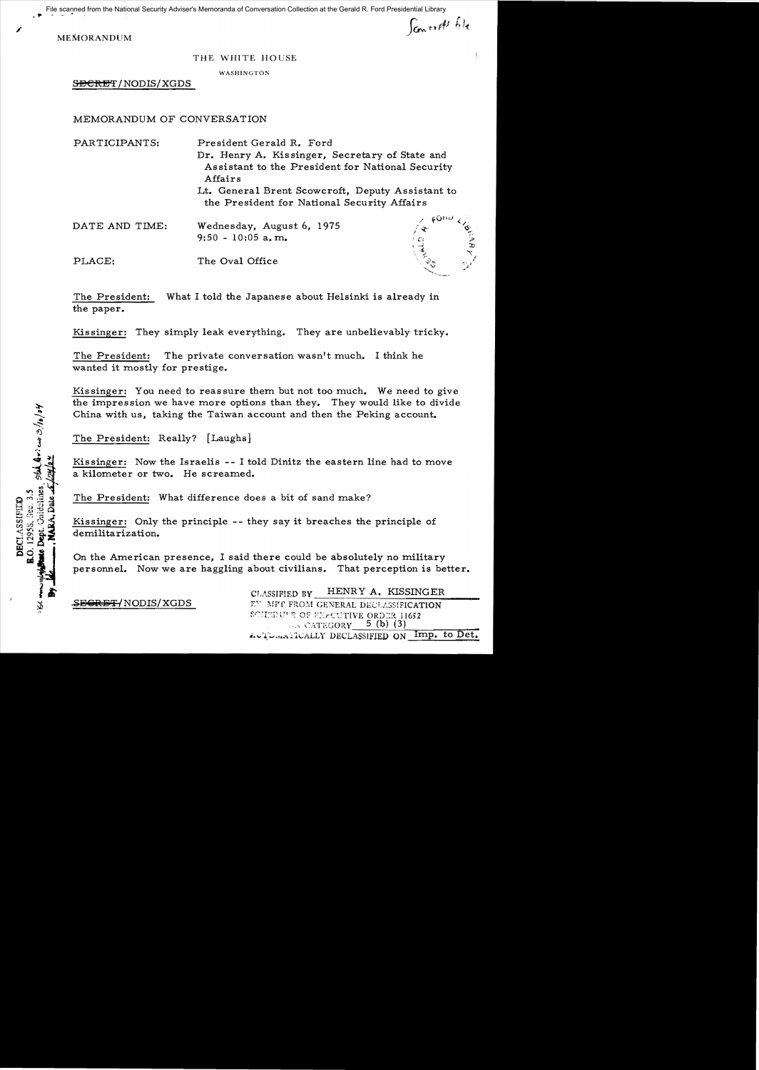$, +$ File scanned from the National Security Adviser's Memoranda of Conversation Collection at the Gerald R. Ford Presidential Library

MEMORANDUM

*i* 

Sancest file

## THE WHITE HOUSE

WASHINGTON

SECRET/NODIS/XGDS

MEMORANDUM OF CONVERSATION

| PARTICIPANTS:  | President Gerald R. Ford                                                                        |                       |
|----------------|-------------------------------------------------------------------------------------------------|-----------------------|
|                | Dr. Henry A. Kissinger, Secretary of State and                                                  |                       |
|                | Assistant to the President for National Security<br>Affairs                                     |                       |
|                | Lt. General Brent Scowcroft, Deputy Assistant to<br>the President for National Security Affairs |                       |
| DATE AND TIME: | Wednesday, August 6, 1975<br>$9:50 - 10:05$ a, m.                                               | . FOnis<br>SARAY<br>❖ |
| PLACE:         | The Oval Office                                                                                 |                       |

The President: What I told the Japanese about Helsinki is already in the paper.

Kissinger: They simply leak everything. They are unbelievably tricky.

The President: The private conversation wasn't much. I think he wanted it mostly for prestige.

Kissinger: You need to reassure them but not too much. We need to give the impression we have more options than they. They would like to divide China with us, taking the Taiwan account and then the Peking account.

The President: Really? [Laughs]

Kissinger: Now the Israelis -- I told Dinitz the eastern line had to move a kilometer or two. He screamed.

The President: What difference does a bit of sand make?

Kissinger: Only the principle - - they say it breaches the principle of demilitarization.

On the American presence, I said there could be absolutely no military personnel. Now we are haggling about civilians. That perception is better.

CLASSIFIED BY HENRY A. KISSINGER **-SEGRET/NODIS/XGDS** FY MPT FROM GENERAL DECLASSIFICATION SCHEDULE OF ENFOUTIVE ORDER 11652  $\ldots$  CATEGORY 5 (b) (3). in The internal interest in the set of the set of the interest of the set of the set of the set of the set of  $D$ 

Association state and other of O. 12958, Sec. 3.5 **DECLASSIFIED**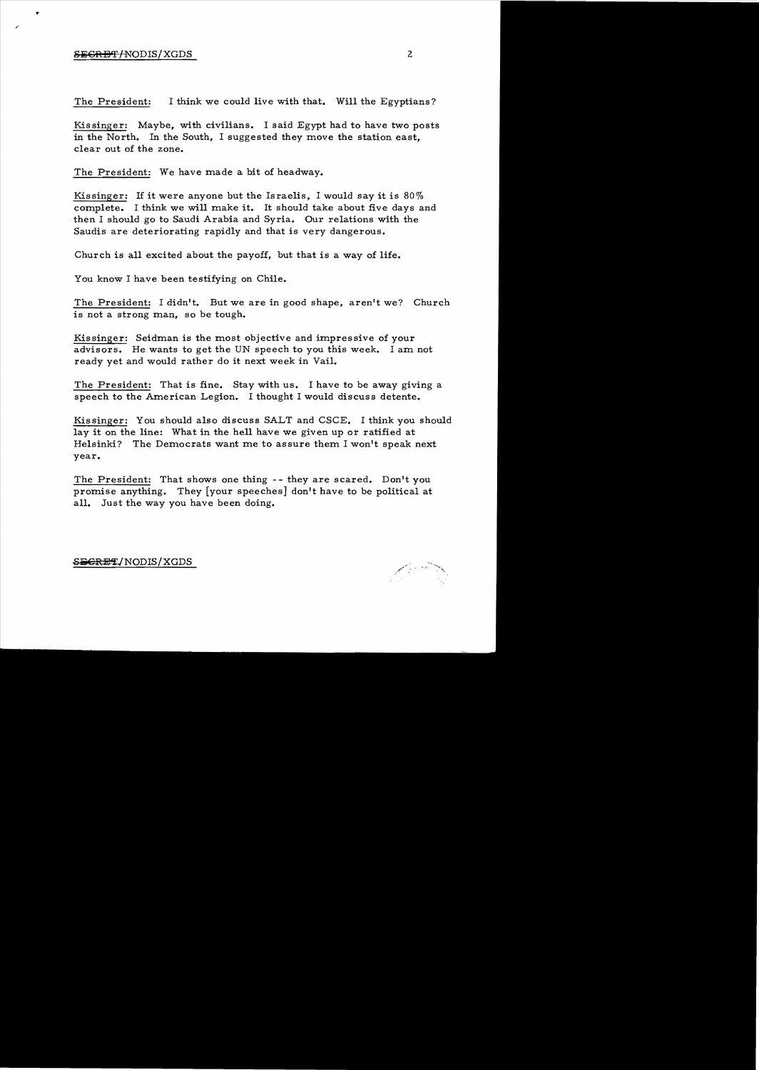## S<del>ECRET/</del>NODIS/XGDS 2

r

The President: I think we could live with that. Will the Egyptians?

Kissinger: Maybe, with civilians. I said Egypt had to have two posts in the North. In the South, I suggested they move the station east, clear out of the zone.

The President: We have made a bit of headway.

Kissinger: If it were anyone but the Israelis, I would say it is 80% complete. I think we will make it. It should take about five days and then I should go to Saudi Arabia and Syria. Our relations with the Saudis are deteriorating rapidly and that is very dangerous.

Church is all excited about the payoff, but that is a way of life.

You know I have been testifying on Chile.

The President: I didn't. But we are in good shape, aren't we? Church is not a strong man, so be tough.

Kissinger: Seidman is the most objective and impressive of your advisors. He wants to get the UN speech to you this week. I am not ready yet and would rather do it next week in Vail.

The President: That is fine. Stay with us. I have to be away giving a speech to the American Legion. I thought I would discuss detente.

Kissinger: You should also discuss SALT and CSCE. I think you should lay it on the line: What in the hell have we given up or ratified at Helsinki? The Democrats want me to assure them I won't speak next year.

The President: That shows one thing -- they are scared. Don't you promise anything. They [your speeches] don't have to be political at all. Just the way you have been doing.

S<del>ECRET</del>/NODIS/XGDS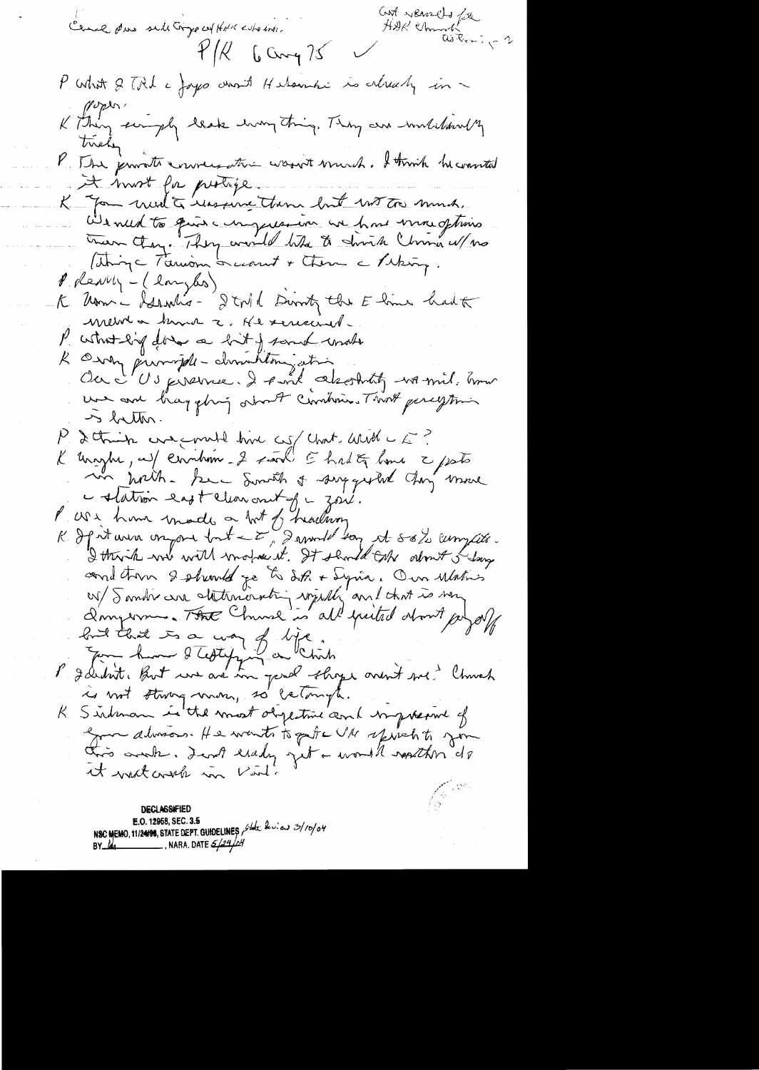Cont records for Cance due side Gryp cof Hill who into.  $4/11$  6 Cmg 75 P. What & TRI a Jayco chorit Helanchi is already in -Copies K. Thing singly leak hong thing. They are mulchantly tricky P. The provate conversation wasn't wound. I trink he wanted It most for protife.<br>K Jon med à ressure tour but wit to much. We need to give compression we have more oftimes Then they. They would like to divide Chris w/ no ( things Tamon I want + Chan a Paking.  $\ell$  pleasely - (longles) K Um - Islandis - I tril Dunk the Eline had to mewha know a He seriained. P what lig does a hit of some under R Oury purright - dimension ation une avec hayghing other combines Two percytion  $\sim$  better. P & think we must have complete with a f K unight, auf circition - 2 said E had E home 2 pots in with . See Smith & supported they muse Colation east clearant of goul.<br>l'are have made a bot of hadron I think we will motion it. It should take about I say and tron 2 phonts je to dit + Syria. Our Matris Longerne. The Church is all paited about pagal had that is a way of life. P déclit huit une avec une perde choque avent me de Church is not strong mon, so catangle. Sindman in the worst objective and impressive of  $\mathcal{K}_{\leq}$ gon always. He wants to get a UM sprehts for this work. Ind early get a world nosther do it wist wish in Virt.

**DECLASSIFIED** E.O. 12958, SEC. 3.5 NSC MEMO, 11/24/98, STATE DEPT. GUIDELINES State levies 3/10/04 NARA, DATE  $\frac{24}{4}$